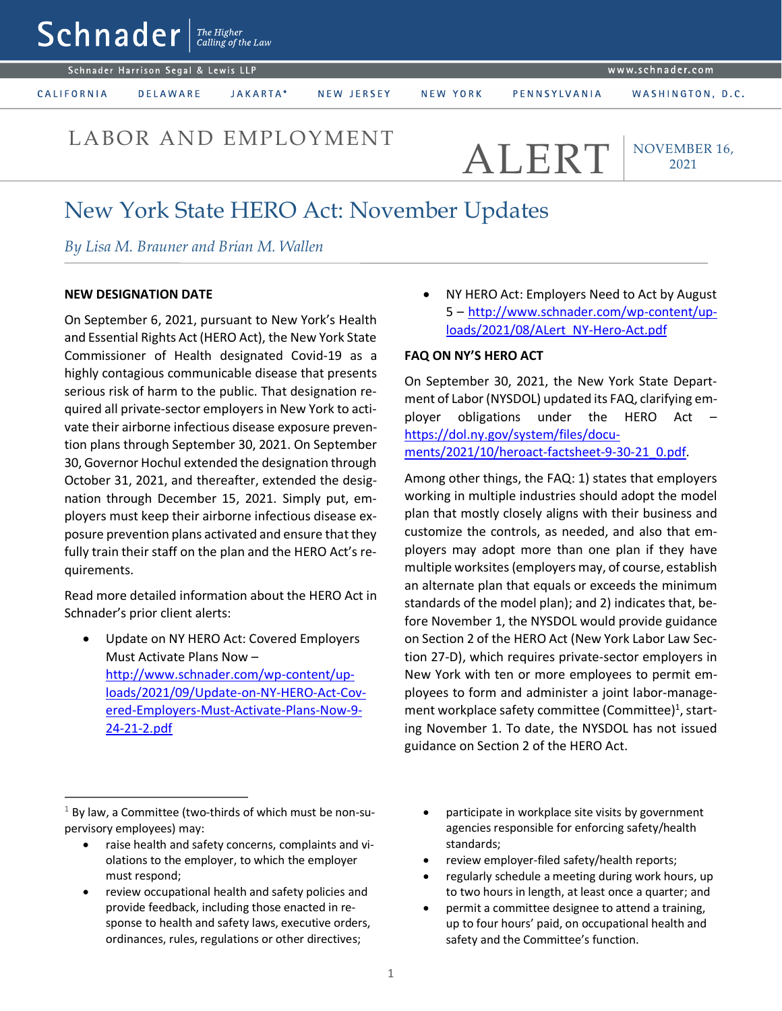$\mathsf{Sch}$ nader  $\vert$ <sup>The Higher</sup> Schnader Harrison Segal & Lewis LLP www.schnader.com JAKARTA\* WASHINGTON, D.C. CALIFORNIA **DELAWARE** NEW JERSEY NEW YORK PENNSYLVANIA

# LABOR AND EMPLOYMENT  $\mathsf{ALERT}$

NOVEMBER 16, 2021

## New York State HERO Act: November Updates

*By Lisa M. Brauner and Brian M. Wallen* 

### **NEW DESIGNATION DATE**

On September 6, 2021, pursuant to New York's Health and Essential Rights Act (HERO Act), the New York State Commissioner of Health designated Covid-19 as a highly contagious communicable disease that presents serious risk of harm to the public. That designation required all private-sector employers in New York to activate their airborne infectious disease exposure prevention plans through September 30, 2021. On September 30, Governor Hochul extended the designation through October 31, 2021, and thereafter, extended the designation through December 15, 2021. Simply put, employers must keep their airborne infectious disease exposure prevention plans activated and ensure that they fully train their staff on the plan and the HERO Act's requirements.

Read more detailed information about the HERO Act in Schnader's prior client alerts:

 Update on NY HERO Act: Covered Employers Must Activate Plans Now – [http://www.schnader.com/wp-content/up](http://www.schnader.com/wp-content/uploads/2021/09/Update-on-NY-HERO-Act-Covered-Employers-Must-Activate-Plans-Now-9-24-21-2.pdf)[loads/2021/09/Update-on-NY-HERO-Act-Cov](http://www.schnader.com/wp-content/uploads/2021/09/Update-on-NY-HERO-Act-Covered-Employers-Must-Activate-Plans-Now-9-24-21-2.pdf)[ered-Employers-Must-Activate-Plans-Now-9-](http://www.schnader.com/wp-content/uploads/2021/09/Update-on-NY-HERO-Act-Covered-Employers-Must-Activate-Plans-Now-9-24-21-2.pdf) [24-21-2.pdf](http://www.schnader.com/wp-content/uploads/2021/09/Update-on-NY-HERO-Act-Covered-Employers-Must-Activate-Plans-Now-9-24-21-2.pdf)

 NY HERO Act: Employers Need to Act by August 5 – [http://www.schnader.com/wp-content/up](http://www.schnader.com/wp-content/uploads/2021/08/ALert_NY-Hero-Act.pdf)[loads/2021/08/ALert\\_NY-Hero-Act.pdf](http://www.schnader.com/wp-content/uploads/2021/08/ALert_NY-Hero-Act.pdf)

### **FAQ ON NY'S HERO ACT**

On September 30, 2021, the New York State Department of Labor (NYSDOL) updated its FAQ, clarifying employer obligations under the HERO Act – [https://dol.ny.gov/system/files/docu](https://dol.ny.gov/system/files/documents/2021/10/heroact-factsheet-9-30-21_0.pdf)[ments/2021/10/heroact-factsheet-9-30-21\\_0.pdf.](https://dol.ny.gov/system/files/documents/2021/10/heroact-factsheet-9-30-21_0.pdf)

Among other things, the FAQ: 1) states that employers working in multiple industries should adopt the model plan that mostly closely aligns with their business and customize the controls, as needed, and also that employers may adopt more than one plan if they have multiple worksites(employers may, of course, establish an alternate plan that equals or exceeds the minimum standards of the model plan); and 2) indicates that, before November 1, the NYSDOL would provide guidance on Section 2 of the HERO Act (New York Labor Law Section 27-D), which requires private-sector employers in New York with ten or more employees to permit employees to form and administer a joint labor-management workplace safety committee (Committee)<sup>1</sup>, starting November 1. To date, the NYSDOL has not issued guidance on Section 2 of the HERO Act.

 $\overline{a}$ 

- raise health and safety concerns, complaints and violations to the employer, to which the employer must respond;
- review occupational health and safety policies and provide feedback, including those enacted in response to health and safety laws, executive orders, ordinances, rules, regulations or other directives;
- participate in workplace site visits by government agencies responsible for enforcing safety/health standards;
- review employer-filed safety/health reports;
- regularly schedule a meeting during work hours, up to two hours in length, at least once a quarter; and
- permit a committee designee to attend a training, up to four hours' paid, on occupational health and safety and the Committee's function.

 $1$  By law, a Committee (two-thirds of which must be non-supervisory employees) may: